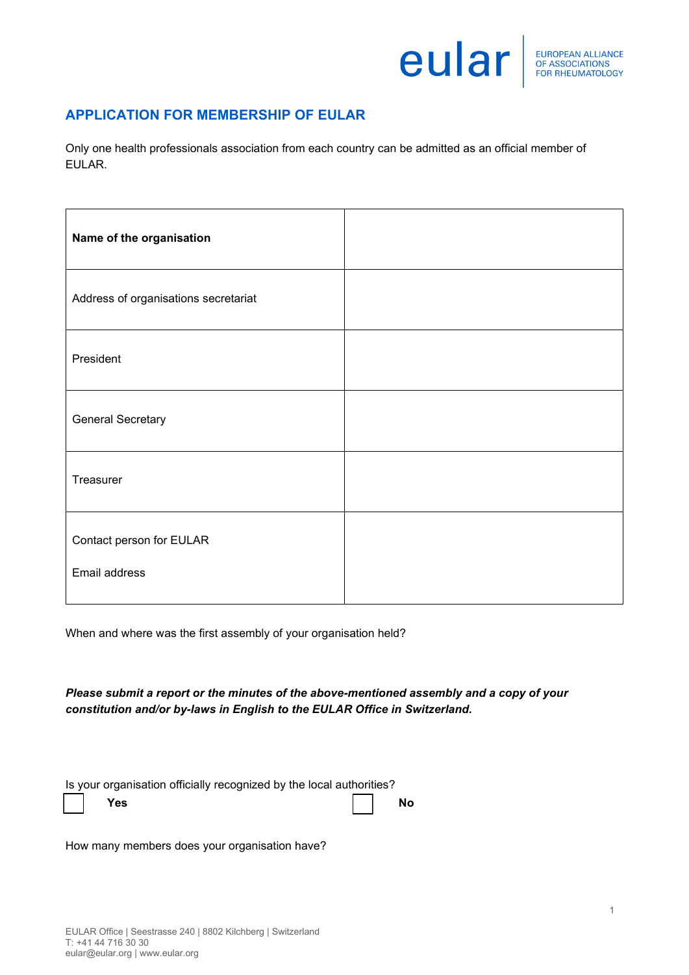## eular

## **APPLICATION FOR MEMBERSHIP OF EULAR**

Only one health professionals association from each country can be admitted as an official member of EULAR.

| Name of the organisation                  |  |
|-------------------------------------------|--|
| Address of organisations secretariat      |  |
| President                                 |  |
| <b>General Secretary</b>                  |  |
| Treasurer                                 |  |
| Contact person for EULAR<br>Email address |  |

When and where was the first assembly of your organisation held?

*Please submit a report or the minutes of the above-mentioned assembly and a copy of your constitution and/or by-laws in English to the EULAR Office in Switzerland.*

| Is your organisation officially recognized by the local authorities? |           |  |
|----------------------------------------------------------------------|-----------|--|
| <b>Yes</b>                                                           | <b>No</b> |  |

How many members does your organisation have?